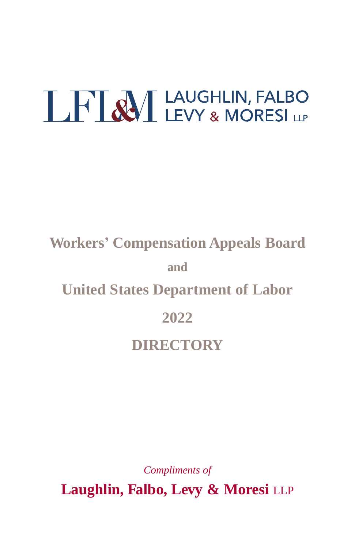# **LHAM** LAUGHLIN, FALBO

## **Workers' Compensation Appeals Board and United States Department of Labor 2022 DIRECTORY**

*Compliments of*

**Laughlin, Falbo, Levy & Moresi** LLP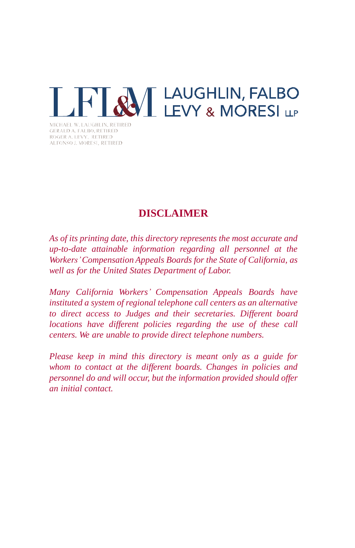

*MCHAEL W. LAUGHLIN, RETIRED* **GERALD A. FALBO, RETIRED** ROGER A. LEVY, RETIRED ALFONSO J. MORESI, RETIRED

## **DISCLAIMER**

*As of its printing date, this directory represents the most accurate and up-to-date attainable information regarding all personnel at the Workers'Compensation Appeals Boards for the State of California, as well as for the United States Department of Labor.*

*Many California Workers' Compensation Appeals Boards have instituted a system of regional telephone call centers as an alternative to direct access to Judges and their secretaries. Different board locations have different policies regarding the use of these call centers. We are unable to provide direct telephone numbers.*

*Please keep in mind this directory is meant only as a guide for whom to contact at the different boards. Changes in policies and personnel do and will occur, but the information provided should offer an initial contact.*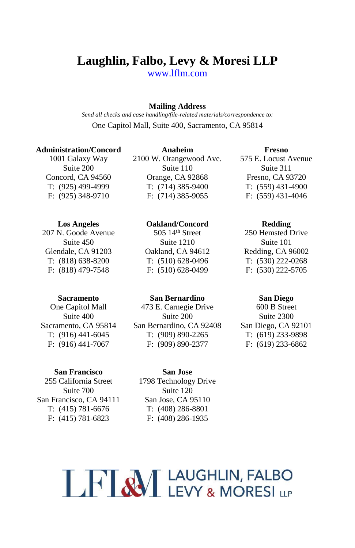## **Laughlin, Falbo, Levy & Moresi LLP**

[www.lflm.com](http://www.lflm.com/)

#### **Mailing Address**

*Send all checks and case handling/file-related materials/correspondence to:* One Capitol Mall, Suite 400, Sacramento, CA 95814

#### **Administration/Concord**

1001 Galaxy Way Suite 200 Concord, CA 94560 T: (925) 499-4999 F: (925) 348-9710

#### **Los Angeles**

207 N. Goode Avenue Suite 450 Glendale, CA 91203 T: (818) 638-8200 F: (818) 479-7548

#### **Sacramento**

One Capitol Mall Suite 400 Sacramento, CA 95814 T: (916) 441-6045 F: (916) 441-7067

#### **San Francisco**

255 California Street Suite 700 San Francisco, CA 94111 T: (415) 781-6676 F: (415) 781-6823

**Anaheim** 2100 W. Orangewood Ave. Suite 110 Orange, CA 92868 T: (714) 385-9400 F: (714) 385-9055

#### **Oakland/Concord**

505 14th Street Suite 1210 Oakland, CA 94612 T: (510) 628-0496 F: (510) 628-0499

#### **San Bernardino**

473 E. Carnegie Drive Suite 200 San Bernardino, CA 92408 T: (909) 890-2265 F: (909) 890-2377

**Fresno** 575 E. Locust Avenue Suite 311 Fresno, CA 93720 T: (559) 431-4900 F: (559) 431-4046

#### **Redding**

250 Hemsted Drive Suite 101 Redding, CA 96002 T: (530) 222-0268 F: (530) 222-5705

#### **San Diego**

600 B Street Suite 2300 San Diego, CA 92101 T: (619) 233-9898 F: (619) 233-6862

## **San Jose**

1798 Technology Drive Suite 120 San Jose, CA 95110 T: (408) 286-8801 F: (408) 286-1935

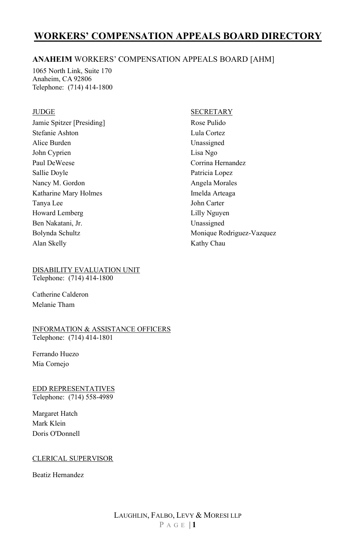#### **ANAHEIM** WORKERS' COMPENSATION APPEALS BOARD [AHM]

1065 North Link, Suite 170 Anaheim, CA 92806 Telephone: (714) 414-1800

#### JUDGE

Jamie Spitzer [Presiding] Stefanie Ashton Alice Burden John Cyprien Paul DeWeese Sallie Doyle Nancy M. Gordon Katharine Mary Holmes Tanya Lee Howard Lemberg Ben Nakatani, Jr. Bolynda Schultz Alan Skelly

#### DISABILITY EVALUATION UNIT

Telephone: (714) 414-1800

Catherine Calderon Melanie Tham

#### INFORMATION & ASSISTANCE OFFICERS Telephone: (714) 414-1801

Ferrando Huezo Mia Cornejo

#### EDD REPRESENTATIVES Telephone: (714) 558-4989

Margaret Hatch Mark Klein Doris O'Donnell

#### CLERICAL SUPERVISOR

Beatiz Hernandez

#### **SECRETARY**

Rose Pulido Lula Cortez Unassigned Lisa Ngo Corrina Hernandez Patricia Lopez Angela Morales Imelda Arteaga John Carter Lilly Nguyen Unassigned Monique Rodriguez-Vazquez Kathy Chau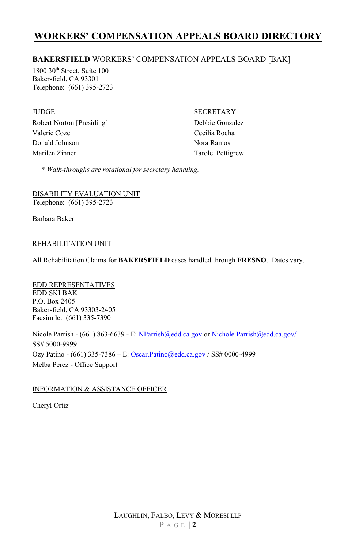#### **BAKERSFIELD** WORKERS' COMPENSATION APPEALS BOARD [BAK]

1800 30<sup>th</sup> Street, Suite 100 Bakersfield, CA 93301 Telephone: (661) 395-2723

JUDGE Robert Norton [Presiding] Valerie Coze Donald Johnson Marilen Zinner

**SECRETARY** 

Debbie Gonzalez Cecilia Rocha Nora Ramos Tarole Pettigrew

\* *Walk-throughs are rotational for secretary handling.* 

DISABILITY EVALUATION UNIT Telephone: (661) 395-2723

Barbara Baker

#### REHABILITATION UNIT

All Rehabilitation Claims for **BAKERSFIELD** cases handled through **FRESNO**. Dates vary.

EDD REPRESENTATIVES EDD SKI BAK P.O. Box 2405 Bakersfield, CA 93303-2405 Facsimile: (661) 335-7390

Nicole Parrish - (661) 863-6639 - E[: NParrish@edd.ca.gov](mailto:NParrish@edd.ca.gov) o[r Nichole.Parrish@edd.ca.gov/](mailto:Nichole.Parrish@edd.ca.gov/) SS# 5000-9999 Ozy Patino - (661) 335-7386 - E[: Oscar.Patino@edd.ca.gov](mailto:Oscar.Patino@edd.ca.gov) / SS# 0000-4999 Melba Perez - Office Support

#### INFORMATION & ASSISTANCE OFFICER

Cheryl Ortiz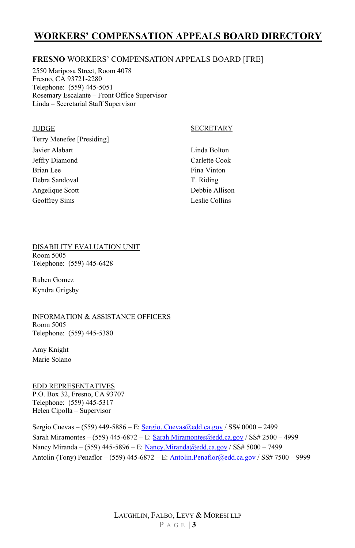#### **FRESNO** WORKERS' COMPENSATION APPEALS BOARD [FRE]

2550 Mariposa Street, Room 4078 Fresno, CA 93721-2280 Telephone: (559) 445-5051 Rosemary Escalante – Front Office Supervisor Linda – Secretarial Staff Supervisor

#### **JUDGE**

#### SECRETARY

Terry Menefee [Presiding] Javier Alabart Jeffry Diamond Brian Lee Debra Sandoval Angelique Scott Geoffrey Sims

Linda Bolton Carlette Cook Fina Vinton T. Riding Debbie Allison Leslie Collins

#### DISABILITY EVALUATION UNIT

Room 5005 Telephone: (559) 445-6428

Ruben Gomez Kyndra Grigsby

#### INFORMATION & ASSISTANCE OFFICERS Room 5005

Telephone: (559) 445-5380

Amy Knight Marie Solano

## EDD REPRESENTATIVES

P.O. Box 32, Fresno, CA 93707 Telephone: (559) 445-5317 Helen Cipolla – Supervisor

Sergio Cuevas – (559) 449-5886 – E[: Sergio..Cuevas@edd.ca.gov](mailto:Sergio..Cuevas@edd.ca.gov) / SS# 0000 – 2499 Sarah Miramontes – (559) 445-6872 – E[: Sarah.Miramontes@edd.ca.gov](mailto:Sarah.Miramontes@edd.ca.gov) / SS# 2500 – 4999 Nancy Miranda – (559) 445-5896 – E[: Nancy.Miranda@edd.ca.gov](mailto:Nancy.Miranda@edd.ca.gov) / SS# 5000 – 7499 Antolin (Tony) Penaflor – (559) 445-6872 – E: [Antolin.Penaflor@edd.ca.gov](mailto:Antolin.Penaflor@edd.ca.gov) / SS# 7500 – 9999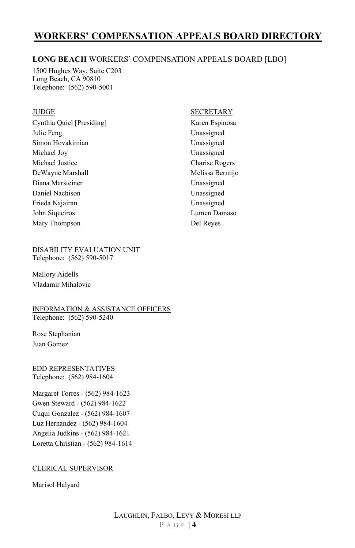#### **LONG BEACH** WORKERS' COMPENSATION APPEALS BOARD [LBO]

1500 Hughes Way, Suite C203 Long Beach, CA 90810 Telephone: (562) 590-5001

#### JUDGE

Cynthia Quiel [Presiding] Julie Feng Simon Hovakimian Michael Joy Michael Justice DeWayne Marshall Diana Marsteiner Daniel Nachison Frieda Najairan John Siqueiros Mary Thompson

#### DISABILITY EVALUATION UNIT

Telephone: (562) 590-5017

Mallory Aidells Vladamir Mihalovic

#### INFORMATION & ASSISTANCE OFFICERS Telephone: (562) 590-5240

Rose Stephanian Juan Gomez

EDD REPRESENTATIVES Telephone: (562) 984-1604

Margaret Torres - (562) 984-1623 Gwen Steward - (562) 984-1622 Cuqui Gonzalez - (562) 984-1607 Luz Hernandez - (562) 984-1604 Angelia Judkins - (562) 984-1621 Loretta Christian - (562) 984-1614

#### CLERICAL SUPERVISOR

Marisol Halyard

#### SECRETARY

Karen Espinosa Unassigned Unassigned Unassigned Charise Rogers Melissa Bermijo Unassigned Unassigned Unassigned Lumen Damaso Del Reyes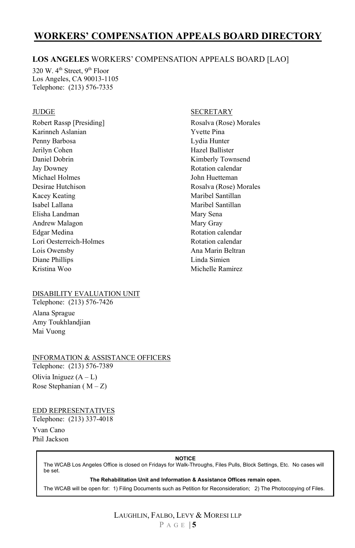#### **LOS ANGELES** WORKERS' COMPENSATION APPEALS BOARD [LAO]

320 W. 4<sup>th</sup> Street, 9<sup>th</sup> Floor Los Angeles, CA 90013-1105 Telephone: (213) 576-7335

#### **JUDGE**

Robert Rassp [Presiding] Karinneh Aslanian Penny Barbosa Jerilyn Cohen Daniel Dobrin Jay Downey Michael Holmes Desirae Hutchison Kacey Keating Isabel Lallana Elisha Landman Andrew Malagon Edgar Medina Lori Oesterreich-Holmes Lois Owensby Diane Phillips Kristina Woo

#### **SECRETARY**

Rosalva (Rose) Morales Yvette Pina Lydia Hunter Hazel Ballister Kimberly Townsend Rotation calendar John Huetteman Rosalva (Rose) Morales Maribel Santillan Maribel Santillan Mary Sena Mary Gray Rotation calendar Rotation calendar Ana Marin Beltran Linda Simien Michelle Ramirez

#### DISABILITY EVALUATION UNIT

Telephone: (213) 576-7426

Alana Sprague Amy Toukhlandjian Mai Vuong

#### INFORMATION & ASSISTANCE OFFICERS

Telephone: (213) 576-7389 Olivia Iniguez  $(A - L)$ Rose Stephanian ( $M - Z$ )

#### EDD REPRESENTATIVES

Telephone: (213) 337-4018 Yvan Cano

Phil Jackson

#### **NOTICE**

The WCAB Los Angeles Office is closed on Fridays for Walk-Throughs, Files Pulls, Block Settings, Etc. No cases will be set.

**The Rehabilitation Unit and Information & Assistance Offices remain open.** 

The WCAB will be open for: 1) Filing Documents such as Petition for Reconsideration; 2) The Photocopying of Files.

#### LAUGHLIN, FALBO, LEVY & MORESI LLP P A G E | **5**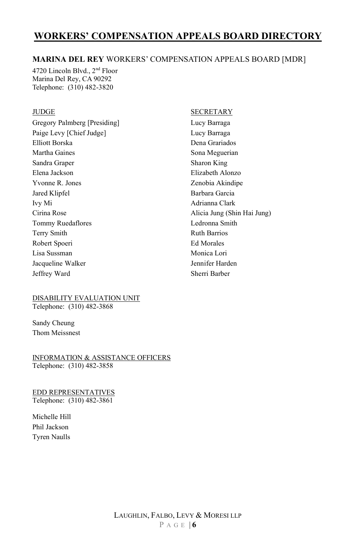#### **MARINA DEL REY** WORKERS' COMPENSATION APPEALS BOARD [MDR]

4720 Lincoln Blvd., 2nd Floor Marina Del Rey, CA 90292 Telephone: (310) 482-3820

#### JUDGE

Gregory Palmberg [Presiding] Paige Levy [Chief Judge] Elliott Borska Martha Gaines Sandra Graper Elena Jackson Yvonne R. Jones Jared Klipfel Ivy Mi Cirina Rose Tommy Ruedaflores Terry Smith Robert Spoeri Lisa Sussman Jacqueline Walker Jeffrey Ward

#### SECRETARY

Lucy Barraga Lucy Barraga Dena Grariados Sona Meguerian Sharon King Elizabeth Alonzo Zenobia Akindipe Barbara Garcia Adrianna Clark Alicia Jung (Shin Hai Jung) Ledronna Smith Ruth Barrios Ed Morales Monica Lori Jennifer Harden Sherri Barber

#### DISABILITY EVALUATION UNIT Telephone: (310) 482-3868

Sandy Cheung Thom Meissnest

INFORMATION & ASSISTANCE OFFICERS Telephone: (310) 482-3858

EDD REPRESENTATIVES Telephone: (310) 482-3861

Michelle Hill Phil Jackson Tyren Naulls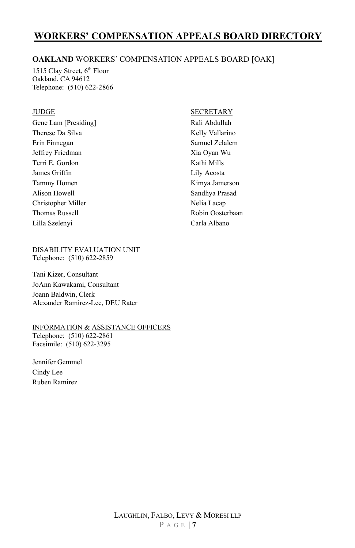#### **OAKLAND** WORKERS' COMPENSATION APPEALS BOARD [OAK]

1515 Clay Street, 6<sup>th</sup> Floor Oakland, CA 94612 Telephone: (510) 622-2866

#### JUDGE

Gene Lam [Presiding] Therese Da Silva Erin Finnegan Jeffrey Friedman Terri E. Gordon James Griffin Tammy Homen Alison Howell Christopher Miller Thomas Russell Lilla Szelenyi

#### DISABILITY EVALUATION UNIT

Telephone: (510) 622-2859

Tani Kizer, Consultant JoAnn Kawakami, Consultant Joann Baldwin, Clerk Alexander Ramirez-Lee, DEU Rater

#### INFORMATION & ASSISTANCE OFFICERS

Telephone: (510) 622-2861 Facsimile: (510) 622-3295

Jennifer Gemmel Cindy Lee Ruben Ramirez

#### **SECRETARY**

Rali Abdullah Kelly Vallarino Samuel Zelalem Xia Oyan Wu Kathi Mills Lily Acosta Kimya Jamerson Sandhya Prasad Nelia Lacap Robin Oosterbaan Carla Albano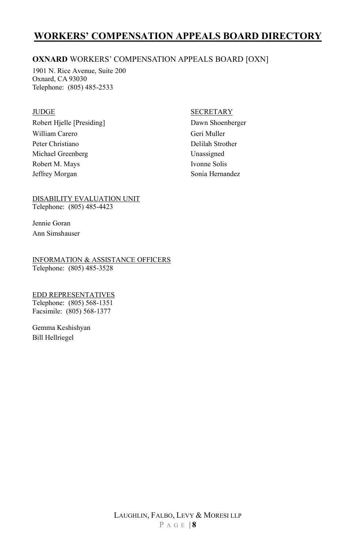#### **OXNARD** WORKERS' COMPENSATION APPEALS BOARD [OXN]

1901 N. Rice Avenue, Suite 200 Oxnard, CA 93030 Telephone: (805) 485-2533

#### JUDGE

Robert Hjelle [Presiding] William Carero Peter Christiano Michael Greenberg Robert M. Mays Jeffrey Morgan

#### **SECRETARY**

Dawn Shoenberger Geri Muller Delilah Strother Unassigned Ivonne Solis Sonia Hernandez

DISABILITY EVALUATION UNIT Telephone: (805) 485-4423

Jennie Goran Ann Simshauser

INFORMATION & ASSISTANCE OFFICERS Telephone: (805) 485-3528

#### EDD REPRESENTATIVES Telephone: (805) 568-1351 Facsimile: (805) 568-1377

Gemma Keshishyan Bill Hellriegel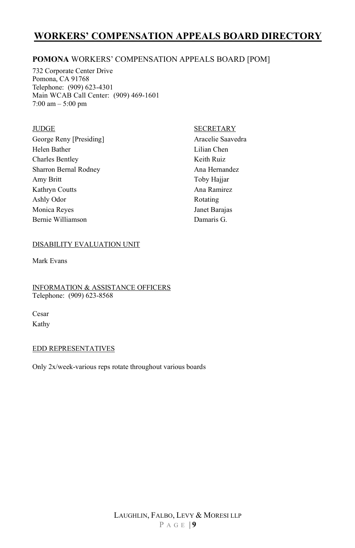#### **POMONA** WORKERS' COMPENSATION APPEALS BOARD [POM]

732 Corporate Center Drive Pomona, CA 91768 Telephone: (909) 623-4301 Main WCAB Call Center: (909) 469-1601 7:00 am – 5:00 pm

#### JUDGE

George Reny [Presiding] Helen Bather Charles Bentley Sharron Bernal Rodney Amy Britt Kathryn Coutts Ashly Odor Monica Reyes Bernie Williamson

#### **SECRETARY**

Aracelie Saavedra Lilian Chen Keith Ruiz Ana Hernandez Toby Hajjar Ana Ramirez Rotating Janet Barajas Damaris G.

#### DISABILITY EVALUATION UNIT

Mark Evans

INFORMATION & ASSISTANCE OFFICERS Telephone: (909) 623-8568

Cesar Kathy

#### EDD REPRESENTATIVES

Only 2x/week-various reps rotate throughout various boards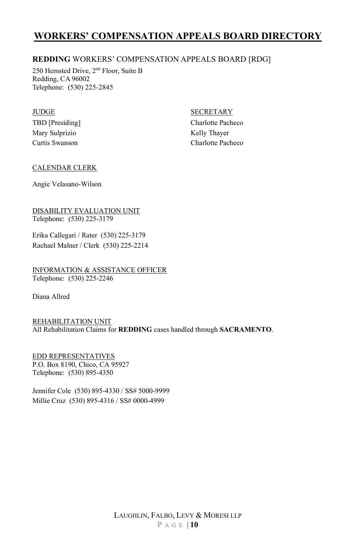#### **REDDING** WORKERS' COMPENSATION APPEALS BOARD [RDG]

250 Hemsted Drive, 2nd Floor, Suite B Redding, CA 96002 Telephone: (530) 225-2845

#### **JUDGE**

TBD [Presiding] Mary Sulprizio Curtis Swanson

#### SECRETARY

Charlotte Pacheco Kelly Thayer Charlotte Pacheco

#### CALENDAR CLERK

Angie Velasano-Wilson

DISABILITY EVALUATION UNIT Telephone: (530) 225-3179

Erika Callegari / Rater (530) 225-3179 Rachael Malner / Clerk (530) 225-2214

INFORMATION & ASSISTANCE OFFICER Telephone: (530) 225-2246

Diana Allred

REHABILITATION UNIT All Rehabilitation Claims for **REDDING** cases handled through **SACRAMENTO**.

EDD REPRESENTATIVES P.O. Box 8190, Chico, CA 95927 Telephone: (530) 895-4350

Jennifer Cole (530) 895-4330 / SS# 5000-9999 Millie Cruz (530) 895-4316 / SS# 0000-4999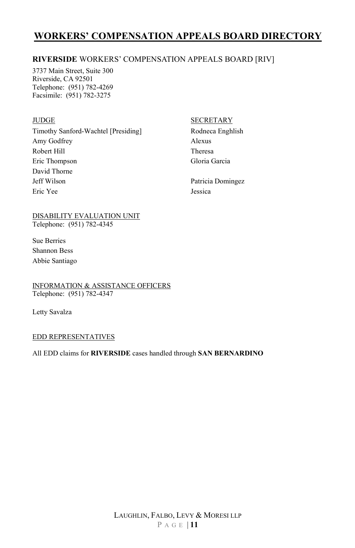#### **RIVERSIDE** WORKERS' COMPENSATION APPEALS BOARD [RIV]

3737 Main Street, Suite 300 Riverside, CA 92501 Telephone: (951) 782-4269 Facsimile: (951) 782-3275

#### **JUDGE**

Timothy Sanford-Wachtel [Presiding] Amy Godfrey Robert Hill Eric Thompson David Thorne Jeff Wilson Eric Yee

#### DISABILITY EVALUATION UNIT Telephone: (951) 782-4345

Sue Berries Shannon Bess Abbie Santiago

#### INFORMATION & ASSISTANCE OFFICERS Telephone: (951) 782-4347

Letty Savalza

#### EDD REPRESENTATIVES

#### All EDD claims for **RIVERSIDE** cases handled through **SAN BERNARDINO**

#### SECRETARY

Rodneca Enghlish Alexus Theresa Gloria Garcia

Patricia Domingez Jessica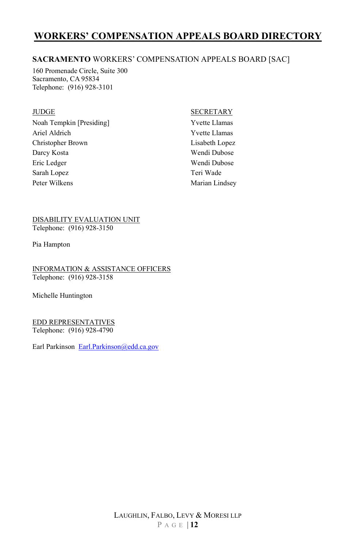#### **SACRAMENTO** WORKERS' COMPENSATION APPEALS BOARD [SAC]

160 Promenade Circle, Suite 300 Sacramento, CA 95834 Telephone: (916) 928-3101

#### JUDGE

Noah Tempkin [Presiding] Ariel Aldrich Christopher Brown Darcy Kosta Eric Ledger Sarah Lopez Peter Wilkens

#### SECRETARY

Yvette Llamas Yvette Llamas Lisabeth Lopez Wendi Dubose Wendi Dubose Teri Wade Marian Lindsey

DISABILITY EVALUATION UNIT Telephone: (916) 928-3150

Pia Hampton

INFORMATION & ASSISTANCE OFFICERS Telephone: (916) 928-3158

Michelle Huntington

EDD REPRESENTATIVES Telephone: (916) 928-4790

Earl Parkinson [Earl.Parkinson@edd.ca.gov](mailto:Earl.Parkinson@edd.ca.gov)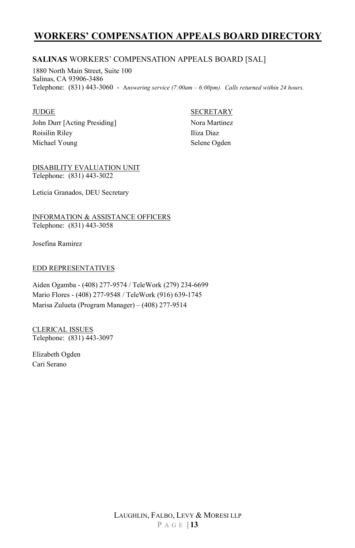#### **SALINAS** WORKERS' COMPENSATION APPEALS BOARD [SAL]

1880 North Main Street, Suite 100 Salinas, CA 93906-3486 Telephone: (831) 443-3060 - A*nswering service (7:00am – 6:00pm). Calls returned within 24 hours.*

#### JUDGE

John Durr [Acting Presiding] Roisilin Riley Michael Young

#### SECRETARY

Nora Martinez Iliza Diaz Selene Ogden

DISABILITY EVALUATION UNIT Telephone: (831) 443-3022

Leticia Granados, DEU Secretary

INFORMATION & ASSISTANCE OFFICERS Telephone: (831) 443-3058

Josefina Ramirez

#### EDD REPRESENTATIVES

Aiden Ogamba - (408) 277-9574 / TeleWork (279) 234-6699 Mario Flores - (408) 277-9548 / TeleWork (916) 639-1745 Marisa Zulueta (Program Manager) – (408) 277-9514

CLERICAL ISSUES Telephone: (831) 443-3097

Elizabeth Ogden Cari Serano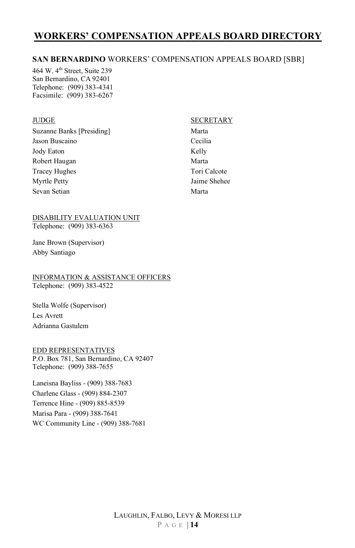#### **SAN BERNARDINO** WORKERS' COMPENSATION APPEALS BOARD [SBR]

464 W. 4<sup>th</sup> Street, Suite 239 San Bernardino, CA 92401 Telephone: (909) 383-4341 Facsimile: (909) 383-6267

#### **JUDGE**

Suzanne Banks [Presiding] Jason Buscaino Jody Eaton Robert Haugan Tracey Hughes Myrtle Petty Sevan Setian

#### DISABILITY EVALUATION UNIT Telephone: (909) 383-6363

Jane Brown (Supervisor) Abby Santiago

INFORMATION & ASSISTANCE OFFICERS Telephone: (909) 383-4522

Stella Wolfe (Supervisor) Les Avrett Adrianna Gastulem

#### EDD REPRESENTATIVES

P.O. Box 781, San Bernardino, CA 92407 Telephone: (909) 388-7655

Laneisna Bayliss - (909) 388-7683 Charlene Glass - (909) 884-2307 Terrence Hine - (909) 885-8539 Marisa Para - (909) 388-7641 WC Community Line - (909) 388-7681

#### SECRETARY

Marta Cecilia Kelly Marta Tori Calcote Jaime Shehee Marta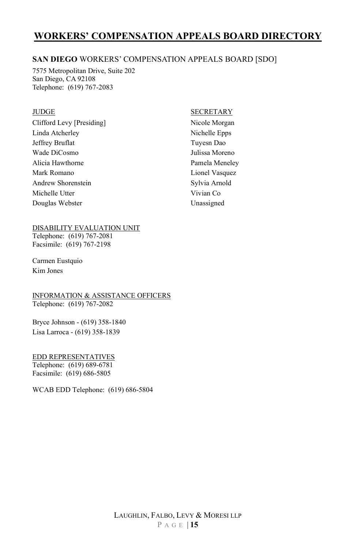#### **SAN DIEGO** WORKERS' COMPENSATION APPEALS BOARD [SDO]

7575 Metropolitan Drive, Suite 202 San Diego, CA 92108 Telephone: (619) 767-2083

#### JUDGE

Clifford Levy [Presiding] Linda Atcherley Jeffrey Bruflat Wade DiCosmo Alicia Hawthorne Mark Romano Andrew Shorenstein Michelle Utter Douglas Webster

#### DISABILITY EVALUATION UNIT

Telephone: (619) 767-2081 Facsimile: (619) 767-2198

Carmen Eustquio Kim Jones

#### INFORMATION & ASSISTANCE OFFICERS Telephone: (619) 767-2082

Bryce Johnson - (619) 358-1840 Lisa Larroca - (619) 358-1839

#### EDD REPRESENTATIVES Telephone: (619) 689-6781

Facsimile: (619) 686-5805

WCAB EDD Telephone: (619) 686-5804

#### SECRETARY

Nicole Morgan Nichelle Epps Tuyesn Dao Julissa Moreno Pamela Meneley Lionel Vasquez Sylvia Arnold Vivian Co Unassigned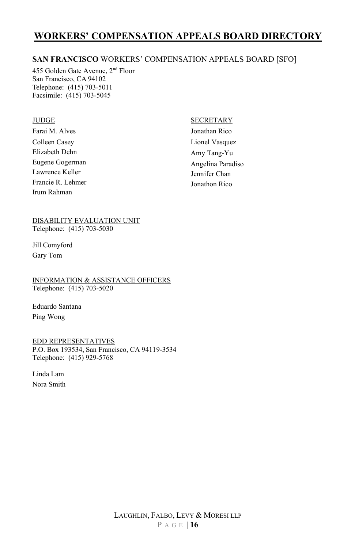#### **SAN FRANCISCO** WORKERS' COMPENSATION APPEALS BOARD [SFO]

455 Golden Gate Avenue, 2nd Floor San Francisco, CA 94102 Telephone: (415) 703-5011 Facsimile: (415) 703-5045

#### **JUDGE**

Farai M. Alves Colleen Casey Elizabeth Dehn Eugene Gogerman Lawrence Keller Francie R. Lehmer Irum Rahman

#### **SECRETARY**

Jonathan Rico Lionel Vasquez Amy Tang-Yu Angelina Paradiso Jennifer Chan Jonathon Rico

DISABILITY EVALUATION UNIT Telephone: (415) 703-5030

Jill Comyford Gary Tom

INFORMATION & ASSISTANCE OFFICERS Telephone: (415) 703-5020

Eduardo Santana Ping Wong

EDD REPRESENTATIVES

P.O. Box 193534, San Francisco, CA 94119-3534 Telephone: (415) 929-5768

Linda Lam Nora Smith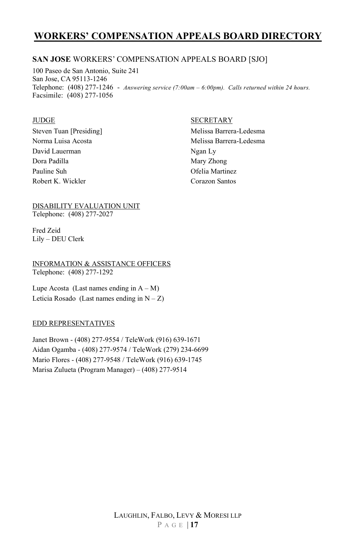#### **SAN JOSE** WORKERS' COMPENSATION APPEALS BOARD [SJO]

100 Paseo de San Antonio, Suite 241 San Jose, CA 95113-1246 Telephone: (408) 277-1246 - *Answering service (7:00am – 6:00pm). Calls returned within 24 hours.* Facsimile: (408) 277-1056

#### **JUDGE**

Steven Tuan [Presiding] Norma Luisa Acosta David Lauerman Dora Padilla Pauline Suh Robert K. Wickler

#### SECRETARY

Melissa Barrera-Ledesma Melissa Barrera-Ledesma Ngan Ly Mary Zhong Ofelia Martinez Corazon Santos

#### DISABILITY EVALUATION UNIT Telephone: (408) 277-2027

Fred Zeid Lily – DEU Clerk

INFORMATION & ASSISTANCE OFFICERS Telephone: (408) 277-1292

Lupe Acosta (Last names ending in  $A - M$ ) Leticia Rosado (Last names ending in  $N - Z$ )

#### EDD REPRESENTATIVES

Janet Brown - (408) 277-9554 / TeleWork (916) 639-1671 Aidan Ogamba - (408) 277-9574 / TeleWork (279) 234-6699 Mario Flores - (408) 277-9548 / TeleWork (916) 639-1745 Marisa Zulueta (Program Manager) – (408) 277-9514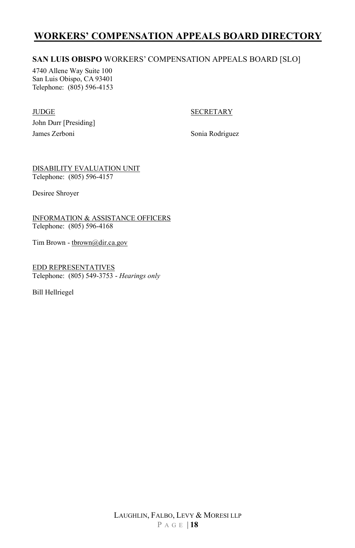#### **SAN LUIS OBISPO** WORKERS' COMPENSATION APPEALS BOARD [SLO]

4740 Allene Way Suite 100 San Luis Obispo, CA 93401 Telephone: (805) 596-4153

#### JUDGE

#### **SECRETARY**

John Durr [Presiding] James Zerboni

Sonia Rodriguez

DISABILITY EVALUATION UNIT Telephone: (805) 596-4157

Desiree Shroyer

INFORMATION & ASSISTANCE OFFICERS Telephone: (805) 596-4168

Tim Brown [- tbrown@dir.ca.gov](mailto:tbrown@dir.ca.gov) 

EDD REPRESENTATIVES Telephone: (805) 549-3753 - *Hearings only*

Bill Hellriegel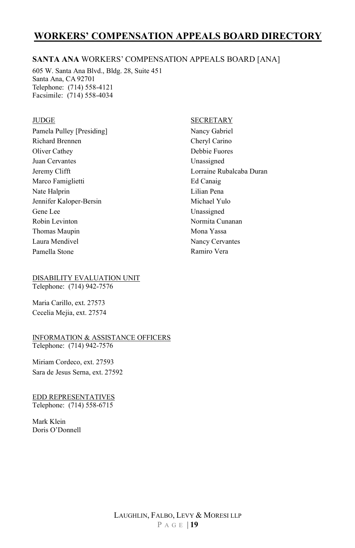#### **SANTA ANA** WORKERS' COMPENSATION APPEALS BOARD [ANA]

605 W. Santa Ana Blvd., Bldg. 28, Suite 451 Santa Ana, CA 92701 Telephone: (714) 558-4121 Facsimile: (714) 558-4034

#### **JUDGE**

Pamela Pulley [Presiding] Richard Brennen Oliver Cathey Juan Cervantes Jeremy Clifft Marco Famiglietti Nate Halprin Jennifer Kaloper-Bersin Gene Lee Robin Levinton Thomas Maupin Laura Mendivel Pamella Stone

DISABILITY EVALUATION UNIT Telephone: (714) 942-7576

Maria Carillo, ext. 27573 Cecelia Mejia, ext. 27574

INFORMATION & ASSISTANCE OFFICERS Telephone: (714) 942-7576

Miriam Cordeco, ext. 27593 Sara de Jesus Serna, ext. 27592

EDD REPRESENTATIVES Telephone: (714) 558-6715

Mark Klein Doris O'Donnell

#### SECRETARY

Nancy Gabriel Cheryl Carino Debbie Fuores Unassigned Lorraine Rubalcaba Duran Ed Canaig Lilian Pena Michael Yulo Unassigned Normita Cunanan Mona Yassa Nancy Cervantes Ramiro Vera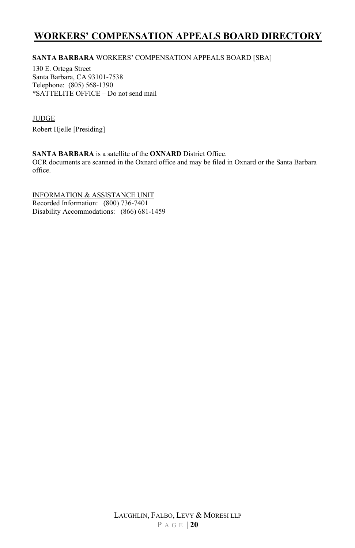#### **SANTA BARBARA** WORKERS' COMPENSATION APPEALS BOARD [SBA]

130 E. Ortega Street Santa Barbara, CA 93101-7538 Telephone: (805) 568-1390 \*SATTELITE OFFICE – Do not send mail

#### JUDGE

Robert Hjelle [Presiding]

#### **SANTA BARBARA** is a satellite of the **OXNARD** District Office.

OCR documents are scanned in the Oxnard office and may be filed in Oxnard or the Santa Barbara office.

INFORMATION & ASSISTANCE UNIT Recorded Information: (800) 736-7401 Disability Accommodations: (866) 681-1459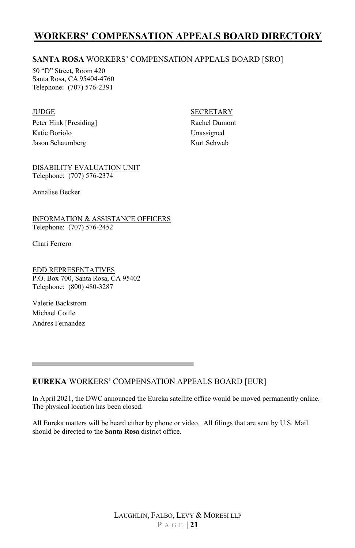#### **SANTA ROSA** WORKERS' COMPENSATION APPEALS BOARD [SRO]

50 "D" Street, Room 420 Santa Rosa, CA 95404-4760 Telephone: (707) 576-2391

#### **JUDGE**

Peter Hink [Presiding] Katie Boriolo Jason Schaumberg

#### **SECRETARY**

Rachel Dumont Unassigned Kurt Schwab

DISABILITY EVALUATION UNIT Telephone: (707) 576-2374

Annalise Becker

INFORMATION & ASSISTANCE OFFICERS Telephone: (707) 576-2452

Chari Ferrero

EDD REPRESENTATIVES P.O. Box 700, Santa Rosa, CA 95402 Telephone: (800) 480-3287

Valerie Backstrom Michael Cottle Andres Fernandez

**EUREKA** WORKERS' COMPENSATION APPEALS BOARD [EUR]

In April 2021, the DWC announced the Eureka satellite office would be moved permanently online. The physical location has been closed.

All Eureka matters will be heard either by phone or video. All filings that are sent by U.S. Mail should be directed to the **Santa Rosa** district office.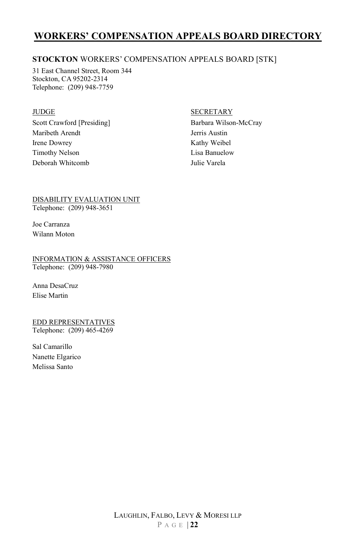#### **STOCKTON** WORKERS' COMPENSATION APPEALS BOARD [STK]

31 East Channel Street, Room 344 Stockton, CA 95202-2314 Telephone: (209) 948-7759

#### JUDGE

Scott Crawford [Presiding] Maribeth Arendt Irene Dowrey Timothy Nelson Deborah Whitcomb

#### SECRETARY

Barbara Wilson-McCray Jerris Austin Kathy Weibel Lisa Banuelow Julie Varela

DISABILITY EVALUATION UNIT Telephone: (209) 948-3651

Joe Carranza Wilann Moton

INFORMATION & ASSISTANCE OFFICERS Telephone: (209) 948-7980

Anna DesaCruz Elise Martin

EDD REPRESENTATIVES Telephone: (209) 465-4269

Sal Camarillo Nanette Elgarico Melissa Santo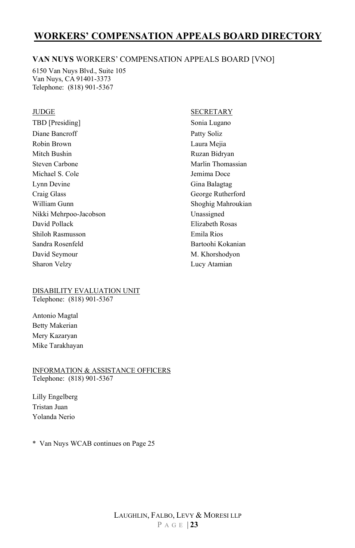#### **VAN NUYS** WORKERS' COMPENSATION APPEALS BOARD [VNO]

6150 Van Nuys Blvd., Suite 105 Van Nuys, CA 91401-3373 Telephone: (818) 901-5367

#### **JUDGE**

TBD [Presiding] Diane Bancroff Robin Brown Mitch Bushin Steven Carbone Michael S. Cole Lynn Devine Craig Glass William Gunn Nikki Mehrpoo-Jacobson David Pollack Shiloh Rasmusson Sandra Rosenfeld David Seymour Sharon Velzy

#### DISABILITY EVALUATION UNIT Telephone: (818) 901-5367

Antonio Magtal Betty Makerian Mery Kazaryan Mike Tarakhayan

INFORMATION & ASSISTANCE OFFICERS Telephone: (818) 901-5367

Lilly Engelberg Tristan Juan Yolanda Nerio

\* Van Nuys WCAB continues on Page 25

#### SECRETARY

Sonia Lugano Patty Soliz Laura Mejia Ruzan Bidryan Marlin Thomassian Jemima Doce Gina Balagtag George Rutherford Shoghig Mahroukian Unassigned Elizabeth Rosas Emila Rios Bartoohi Kokanian M. Khorshodyon Lucy Atamian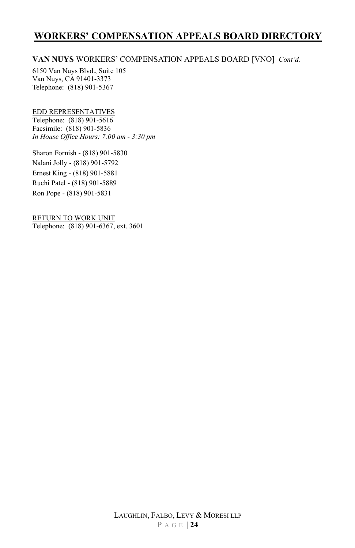#### **VAN NUYS** WORKERS' COMPENSATION APPEALS BOARD [VNO] *Cont'd.*

6150 Van Nuys Blvd., Suite 105 Van Nuys, CA 91401-3373 Telephone: (818) 901-5367

#### EDD REPRESENTATIVES

Telephone: (818) 901-5616 Facsimile: (818) 901-5836 *In House Office Hours: 7:00 am - 3:30 pm* 

Sharon Fornish - (818) 901-5830 Nalani Jolly - (818) 901-5792 Ernest King - (818) 901-5881 Ruchi Patel - (818) 901-5889 Ron Pope - (818) 901-5831

RETURN TO WORK UNIT Telephone: (818) 901-6367, ext. 3601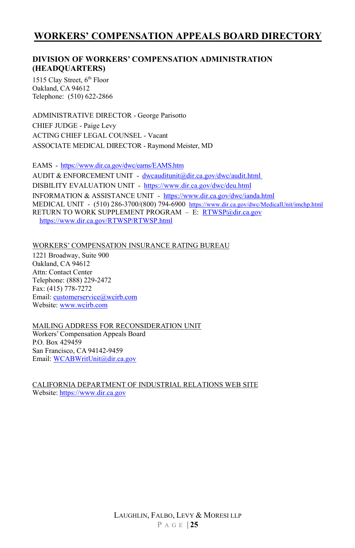#### **DIVISION OF WORKERS' COMPENSATION ADMINISTRATION (HEADQUARTERS)**

1515 Clay Street, 6<sup>th</sup> Floor Oakland, CA 94612 Telephone: (510) 622-2866

ADMINISTRATIVE DIRECTOR - George Parisotto CHIEF JUDGE - Paige Levy ACTING CHIEF LEGAL COUNSEL - Vacant ASSOCIATE MEDICAL DIRECTOR - Raymond Meister, MD

EAMS -<https://www.dir.ca.gov/dwc/eams/EAMS.htm> AUDIT & ENFORCEMENT UNIT - [dwcauditunit@dir.ca.gov/dwc/audit.html](mailto:dwcauditunit@dir.ca.gov/dwc/audit.html) DISBILITY EVALUATION UNIT -<https://www.dir.ca.gov/dwc/deu.html> INFORMATION & ASSISTANCE UNIT -<https://www.dir.ca.gov/dwc/ianda.html> MEDICAL UNIT - (510) 286-3700/(800) 794-6900 <https://www.dir.ca.gov/dwc/MedicalUnit/imchp.html> RETURN TO WORK SUPPLEMENT PROGRAM - E: RTWSP@dir.ca.gov <https://www.dir.ca.gov/RTWSP/RTWSP.html>

WORKERS' COMPENSATION INSURANCE RATING BUREAU

1221 Broadway, Suite 900 Oakland, CA 94612 Attn: Contact Center Telephone: (888) 229-2472 Fax: (415) 778-7272 Email: customerservice@wcirb.com Website[: www.wcirb.com](http://www.wcirb.com/) 

#### MAILING ADDRESS FOR RECONSIDERATION UNIT Workers' Compensation Appeals Board P.O. Box 429459 San Francisco, CA 94142-9459 Email[: WCABWritUnit@dir.ca.gov](mailto:WCABWritUnit@dir.ca.gov)

CALIFORNIA DEPARTMENT OF INDUSTRIAL RELATIONS WEB SITE Website[: https://www.dir.ca.gov](https://www.dir.ca.gov/)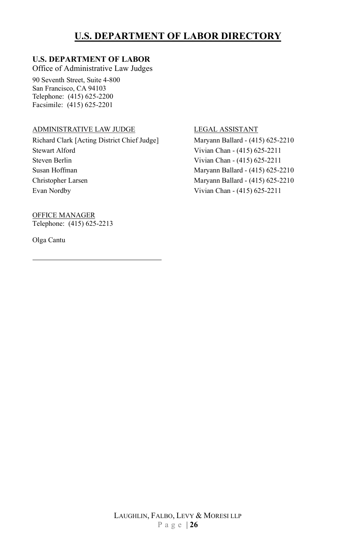## **U.S. DEPARTMENT OF LABOR DIRECTORY**

#### **U.S. DEPARTMENT OF LABOR**

Office of Administrative Law Judges

90 Seventh Street, Suite 4-800 San Francisco, CA 94103 Telephone: (415) 625-2200 Facsimile: (415) 625-2201

#### ADMINISTRATIVE LAW JUDGE

Richard Clark [Acting District Chief Judge] Stewart Alford Steven Berlin Susan Hoffman Christopher Larsen Evan Nordby

OFFICE MANAGER Telephone: (415) 625-2213

Olga Cantu

#### LEGAL ASSISTANT

Maryann Ballard - (415) 625-2210 Vivian Chan - (415) 625-2211 Vivian Chan - (415) 625-2211 Maryann Ballard - (415) 625-2210 Maryann Ballard - (415) 625-2210 Vivian Chan - (415) 625-2211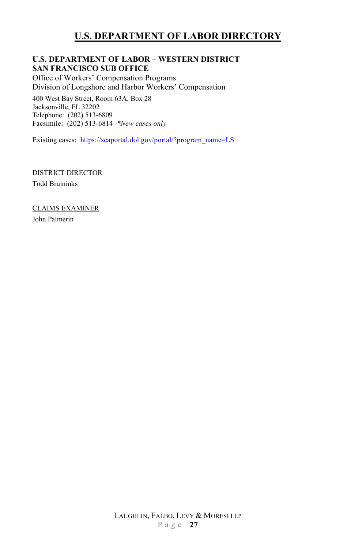## **U.S. DEPARTMENT OF LABOR DIRECTORY**

#### **U.S. DEPARTMENT OF LABOR – WESTERN DISTRICT SAN FRANCISCO SUB OFFICE**

Office of Workers' Compensation Programs Division of Longshore and Harbor Workers' Compensation 400 West Bay Street, Room 63A, Box 28 Jacksonville, FL 32202

Telephone: (202) 513-6809 Facsimile: (202) 513-6814 *\*New cases only* 

Existing cases: [https://seaportal.dol.gov/portal/?program\\_name=LS](https://seaportal.dol.gov/portal/?program_name=LS) 

DISTRICT DIRECTOR Todd Bruininks

CLAIMS EXAMINER John Palmerin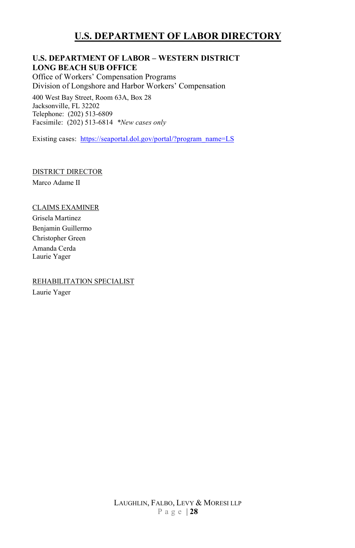## **U.S. DEPARTMENT OF LABOR DIRECTORY**

#### **U.S. DEPARTMENT OF LABOR – WESTERN DISTRICT LONG BEACH SUB OFFICE**

Office of Workers' Compensation Programs Division of Longshore and Harbor Workers' Compensation

400 West Bay Street, Room 63A, Box 28 Jacksonville, FL 32202 Telephone: (202) 513-6809 Facsimile: (202) 513-6814 *\*New cases only* 

Existing cases: [https://seaportal.dol.gov/portal/?program\\_name=LS](https://seaportal.dol.gov/portal/?program_name=LS) 

#### DISTRICT DIRECTOR

Marco Adame II

#### CLAIMS EXAMINER

Grisela Martinez Benjamin Guillermo Christopher Green Amanda Cerda Laurie Yager

#### REHABILITATION SPECIALIST

Laurie Yager

LAUGHLIN, FALBO, LEVY & MORESI LLP P a g e | **28**